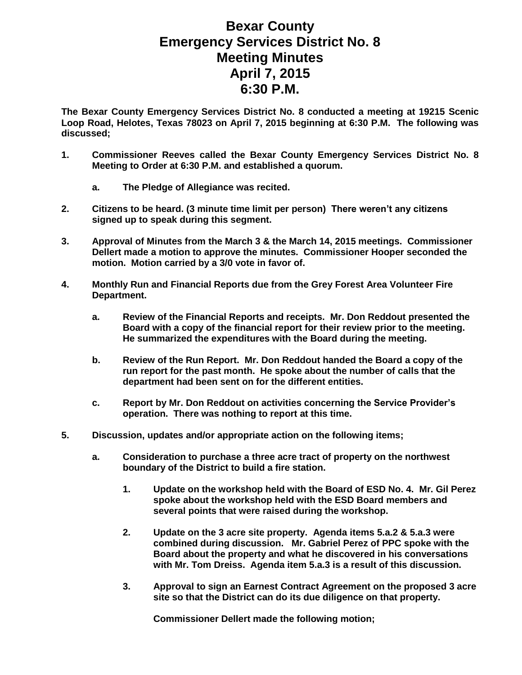## **Bexar County Emergency Services District No. 8 Meeting Minutes April 7, 2015 6:30 P.M.**

**The Bexar County Emergency Services District No. 8 conducted a meeting at 19215 Scenic Loop Road, Helotes, Texas 78023 on April 7, 2015 beginning at 6:30 P.M. The following was discussed;**

- **1. Commissioner Reeves called the Bexar County Emergency Services District No. 8 Meeting to Order at 6:30 P.M. and established a quorum.** 
	- **a. The Pledge of Allegiance was recited.**
- **2. Citizens to be heard. (3 minute time limit per person) There weren't any citizens signed up to speak during this segment.**
- **3. Approval of Minutes from the March 3 & the March 14, 2015 meetings. Commissioner Dellert made a motion to approve the minutes. Commissioner Hooper seconded the motion. Motion carried by a 3/0 vote in favor of.**
- **4. Monthly Run and Financial Reports due from the Grey Forest Area Volunteer Fire Department.**
	- **a. Review of the Financial Reports and receipts. Mr. Don Reddout presented the Board with a copy of the financial report for their review prior to the meeting. He summarized the expenditures with the Board during the meeting.**
	- **b. Review of the Run Report. Mr. Don Reddout handed the Board a copy of the run report for the past month. He spoke about the number of calls that the department had been sent on for the different entities.**
	- **c. Report by Mr. Don Reddout on activities concerning the Service Provider's operation. There was nothing to report at this time.**
- **5. Discussion, updates and/or appropriate action on the following items;**
	- **a. Consideration to purchase a three acre tract of property on the northwest boundary of the District to build a fire station.**
		- **1. Update on the workshop held with the Board of ESD No. 4. Mr. Gil Perez spoke about the workshop held with the ESD Board members and several points that were raised during the workshop.**
		- **2. Update on the 3 acre site property. Agenda items 5.a.2 & 5.a.3 were combined during discussion. Mr. Gabriel Perez of PPC spoke with the Board about the property and what he discovered in his conversations with Mr. Tom Dreiss. Agenda item 5.a.3 is a result of this discussion.**
		- **3. Approval to sign an Earnest Contract Agreement on the proposed 3 acre site so that the District can do its due diligence on that property.**

**Commissioner Dellert made the following motion;**